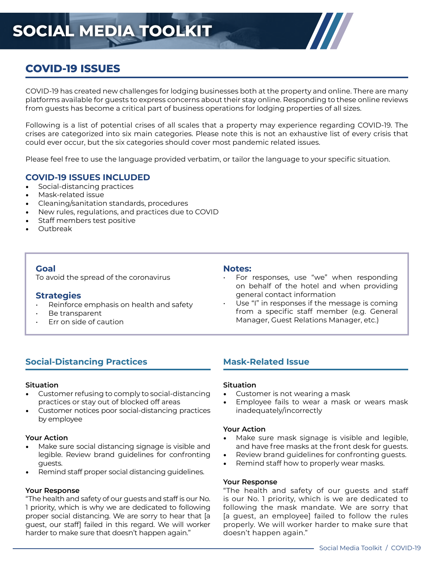# **SOCIAL MEDIA TOOLKIT**

# **COVID-19 ISSUES**

COVID-19 has created new challenges for lodging businesses both at the property and online. There are many platforms available for guests to express concerns about their stay online. Responding to these online reviews from guests has become a critical part of business operations for lodging properties of all sizes.

Following is a list of potential crises of all scales that a property may experience regarding COVID-19. The crises are categorized into six main categories. Please note this is not an exhaustive list of every crisis that could ever occur, but the six categories should cover most pandemic related issues.

Please feel free to use the language provided verbatim, or tailor the language to your specific situation.

## **COVID-19 ISSUES INCLUDED**

- Social-distancing practices
- Mask-related issue
- Cleaning/sanitation standards, procedures
- New rules, regulations, and practices due to COVID
- Staff members test positive
- Outbreak

## **Goal**

To avoid the spread of the coronavirus

#### **Strategies**

- Reinforce emphasis on health and safety
- Be transparent
- Err on side of caution

#### **Notes:**

- For responses, use "we" when responding on behalf of the hotel and when providing general contact information
- Use "I" in responses if the message is coming from a specific staff member (e.g. General Manager, Guest Relations Manager, etc.)

# **Social-Distancing Practices**

#### **Situation**

- Customer refusing to comply to social-distancing practices or stay out of blocked off areas
- Customer notices poor social-distancing practices by employee

#### **Your Action**

- Make sure social distancing signage is visible and legible. Review brand guidelines for confronting guests.
- Remind staff proper social distancing guidelines.

#### **Your Response**

"The health and safety of our guests and staff is our No. 1 priority, which is why we are dedicated to following proper social distancing. We are sorry to hear that [a guest, our staff] failed in this regard. We will worker harder to make sure that doesn't happen again."

# **Mask-Related Issue**

#### **Situation**

- Customer is not wearing a mask
- Employee fails to wear a mask or wears mask inadequately/incorrectly

#### **Your Action**

- Make sure mask signage is visible and legible, and have free masks at the front desk for guests.
- Review brand guidelines for confronting guests.
- Remind staff how to properly wear masks.

#### **Your Response**

"The health and safety of our guests and staff is our No. 1 priority, which is we are dedicated to following the mask mandate. We are sorry that [a guest, an employee] failed to follow the rules properly. We will worker harder to make sure that doesn't happen again."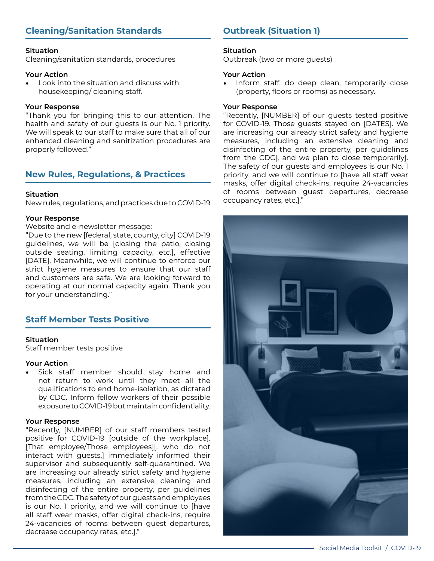# **Cleaning/Sanitation Standards**

#### **Situation**

Cleaning/sanitation standards, procedures

#### **Your Action**

• Look into the situation and discuss with housekeeping/ cleaning staff.

#### **Your Response**

"Thank you for bringing this to our attention. The health and safety of our guests is our No. 1 priority. We will speak to our staff to make sure that all of our enhanced cleaning and sanitization procedures are properly followed."

# **New Rules, Regulations, & Practices**

#### **Situation**

New rules, regulations, and practices due to COVID-19

#### **Your Response**

Website and e-newsletter message:

"Due to the new [federal, state, county, city] COVID-19 guidelines, we will be [closing the patio, closing outside seating, limiting capacity, etc.], effective [DATE]. Meanwhile, we will continue to enforce our strict hygiene measures to ensure that our staff and customers are safe. We are looking forward to operating at our normal capacity again. Thank you for your understanding."

## **Staff Member Tests Positive**

#### **Situation**

Staff member tests positive

#### **Your Action**

• Sick staff member should stay home and not return to work until they meet all the qualifications to end home-isolation, as dictated by CDC. Inform fellow workers of their possible exposure to COVID-19 but maintain confidentiality.

#### **Your Response**

"Recently, [NUMBER] of our staff members tested positive for COVID-19 [outside of the workplace]. [That employee/Those employees][, who do not interact with guests,] immediately informed their supervisor and subsequently self-quarantined. We are increasing our already strict safety and hygiene measures, including an extensive cleaning and disinfecting of the entire property, per guidelines from the CDC. The safety of our guests and employees is our No. 1 priority, and we will continue to [have all staff wear masks, offer digital check-ins, require 24-vacancies of rooms between guest departures, decrease occupancy rates, etc.]."

# **Outbreak (Situation 1)**

#### **Situation**

Outbreak (two or more guests)

#### **Your Action**

• Inform staff, do deep clean, temporarily close (property, floors or rooms) as necessary.

#### **Your Response**

"Recently, [NUMBER] of our guests tested positive for COVID-19. Those guests stayed on [DATES]. We are increasing our already strict safety and hygiene measures, including an extensive cleaning and disinfecting of the entire property, per guidelines from the CDC[, and we plan to close temporarily]. The safety of our guests and employees is our No. 1 priority, and we will continue to [have all staff wear masks, offer digital check-ins, require 24-vacancies of rooms between guest departures, decrease occupancy rates, etc.]."